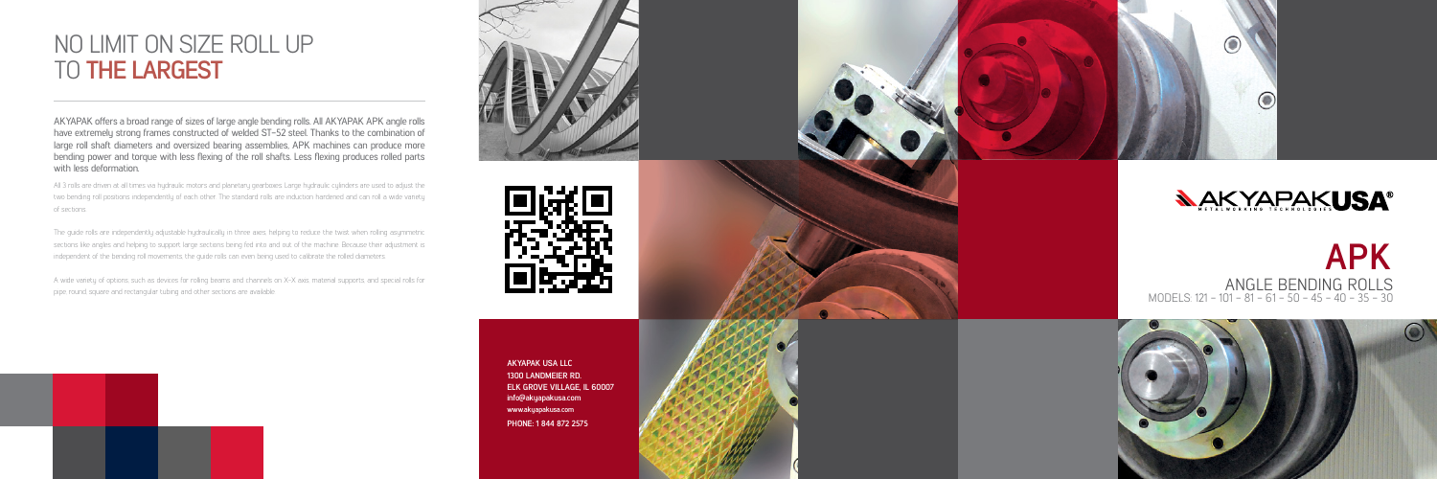# NO LIMIT ON SIZE ROLL UP TO **THE LARGEST**

**APK** ANGLE BENDING ROLLS MODELS: 121 - 101 - 81 - 61 - 50 - 45 - 40 - 35 - 30



All 3 rolls are driven at all times via hydraulic motors and planetary gearboxes. Large hydraulic cylinders are used to adjust the two bending roll positions independently of each other. The standard rolls are induction hardened and can roll a wide variety of sections.

The guide rolls are independently adjustable hydraulically in three axes, helping to reduce the twist when rolling asymmetric sections like angles and helping to support large sections being fed into and out of the machine. Because their adjustment is independent of the bending roll movements, the guide rolls can even being used to calibrate the rolled diameters.

A wide variety of options, such as devices for rolling beams and channels on X-X axis, material supports, and special rolls for pipe, round, square and rectangular tubing and other sections are available.





AKYAPAK offers a broad range of sizes of large angle bending rolls. All AKYAPAK APK angle rolls have extremely strong frames constructed of welded ST-52 steel. Thanks to the combination of large roll shaft diameters and oversized bearing assemblies, APK machines can produce more bending power and torque with less flexing of the roll shafts. Less flexing produces rolled parts with less deformation.

> **1300 LANDMEIER RD. ELK GROVE VILLAGE, IL 60007 info@akyapakusa.com www.akyapakusa.com AKYAPAK USA LLC**

**PHONE: 1 844 872 2575**